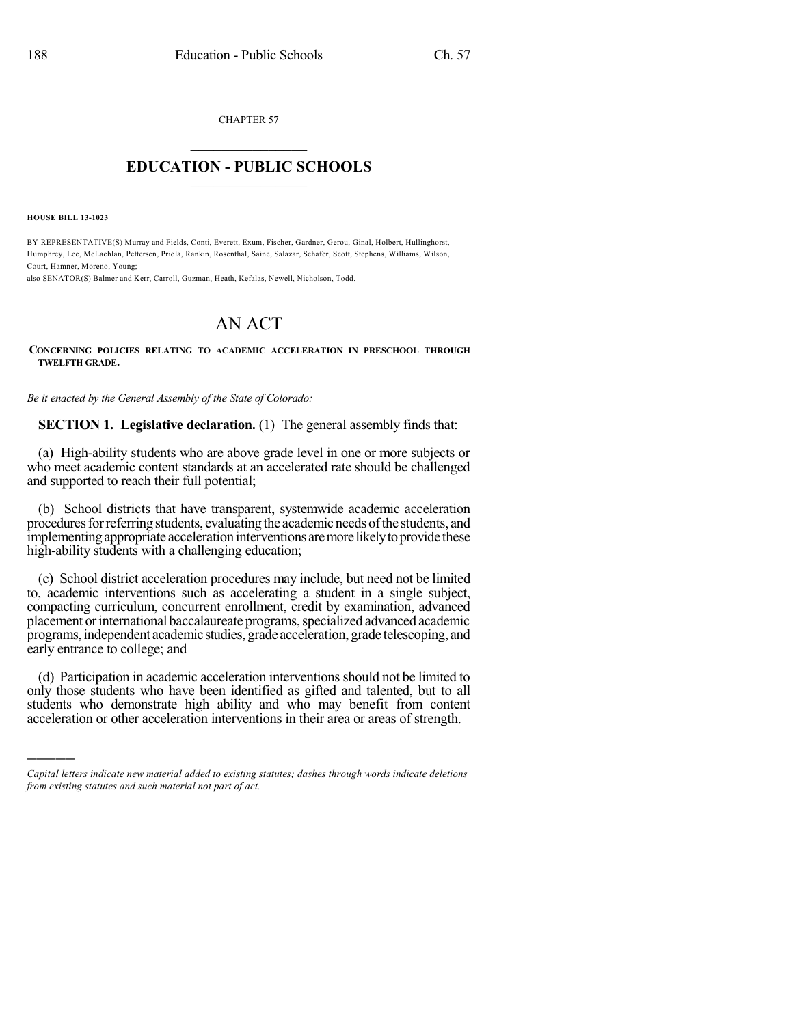CHAPTER 57  $\overline{\phantom{a}}$  . The set of the set of the set of the set of the set of the set of the set of the set of the set of the set of the set of the set of the set of the set of the set of the set of the set of the set of the set o

## **EDUCATION - PUBLIC SCHOOLS**  $\_$   $\_$   $\_$   $\_$   $\_$   $\_$   $\_$   $\_$   $\_$

**HOUSE BILL 13-1023**

)))))

BY REPRESENTATIVE(S) Murray and Fields, Conti, Everett, Exum, Fischer, Gardner, Gerou, Ginal, Holbert, Hullinghorst, Humphrey, Lee, McLachlan, Pettersen, Priola, Rankin, Rosenthal, Saine, Salazar, Schafer, Scott, Stephens, Williams, Wilson, Court, Hamner, Moreno, Young;

also SENATOR(S) Balmer and Kerr, Carroll, Guzman, Heath, Kefalas, Newell, Nicholson, Todd.

## AN ACT

## **CONCERNING POLICIES RELATING TO ACADEMIC ACCELERATION IN PRESCHOOL THROUGH TWELFTH GRADE.**

*Be it enacted by the General Assembly of the State of Colorado:*

**SECTION 1. Legislative declaration.** (1) The general assembly finds that:

(a) High-ability students who are above grade level in one or more subjects or who meet academic content standards at an accelerated rate should be challenged and supported to reach their full potential;

(b) School districts that have transparent, systemwide academic acceleration procedures for referring students, evaluating the academic needs of the students, and implementing appropriate acceleration interventions are more likely to provide these high-ability students with a challenging education;

(c) School district acceleration procedures may include, but need not be limited to, academic interventions such as accelerating a student in a single subject, compacting curriculum, concurrent enrollment, credit by examination, advanced placement orinternational baccalaureate programs,specialized advanced academic programs,independent academic studies, grade acceleration, grade telescoping, and early entrance to college; and

(d) Participation in academic acceleration interventions should not be limited to only those students who have been identified as gifted and talented, but to all students who demonstrate high ability and who may benefit from content acceleration or other acceleration interventions in their area or areas of strength.

*Capital letters indicate new material added to existing statutes; dashes through words indicate deletions from existing statutes and such material not part of act.*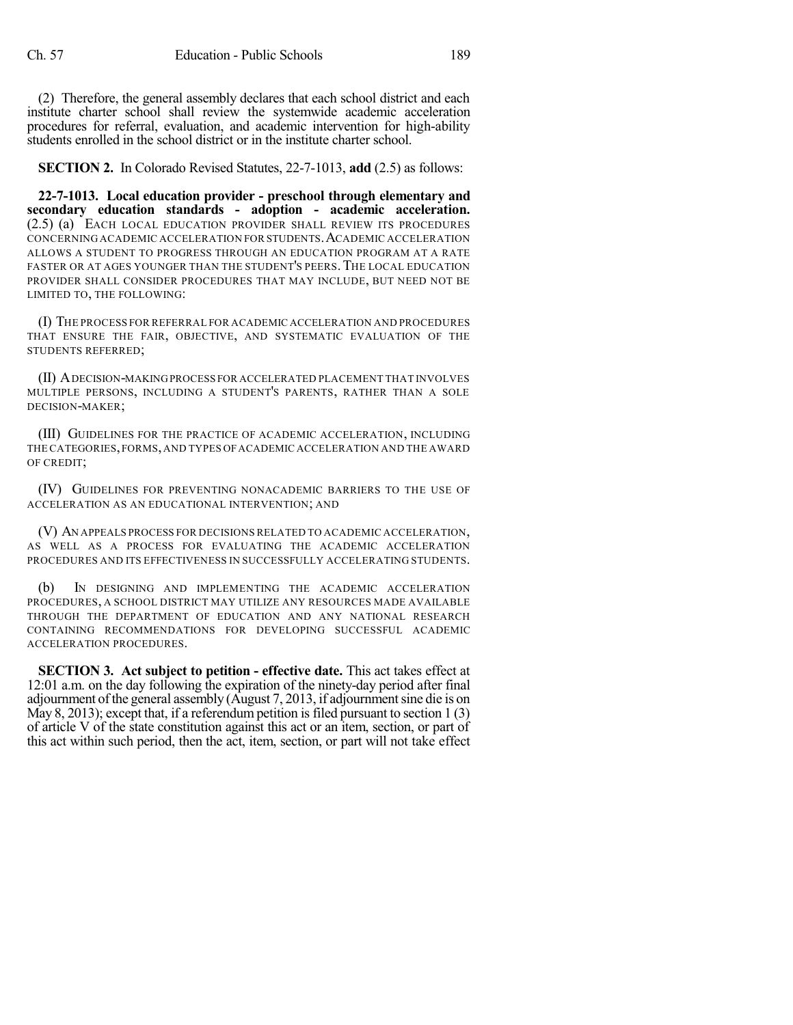(2) Therefore, the general assembly declares that each school district and each institute charter school shall review the systemwide academic acceleration procedures for referral, evaluation, and academic intervention for high-ability students enrolled in the school district or in the institute charter school.

**SECTION 2.** In Colorado Revised Statutes, 22-7-1013, **add** (2.5) as follows:

**22-7-1013. Local education provider - preschool through elementary and secondary education standards - adoption - academic acceleration.** (2.5) (a) EACH LOCAL EDUCATION PROVIDER SHALL REVIEW ITS PROCEDURES CONCERNING ACADEMIC ACCELERATION FOR STUDENTS.ACADEMIC ACCELERATION ALLOWS A STUDENT TO PROGRESS THROUGH AN EDUCATION PROGRAM AT A RATE FASTER OR AT AGES YOUNGER THAN THE STUDENT'S PEERS. THE LOCAL EDUCATION PROVIDER SHALL CONSIDER PROCEDURES THAT MAY INCLUDE, BUT NEED NOT BE LIMITED TO, THE FOLLOWING:

(I) THE PROCESS FOR REFERRAL FOR ACADEMIC ACCELERATION AND PROCEDURES THAT ENSURE THE FAIR, OBJECTIVE, AND SYSTEMATIC EVALUATION OF THE STUDENTS REFERRED;

(II) ADECISION-MAKINGPROCESS FOR ACCELERATED PLACEMENT THAT INVOLVES MULTIPLE PERSONS, INCLUDING A STUDENT'S PARENTS, RATHER THAN A SOLE DECISION-MAKER;

(III) GUIDELINES FOR THE PRACTICE OF ACADEMIC ACCELERATION, INCLUDING THE CATEGORIES,FORMS,AND TYPES OFACADEMIC ACCELERATION AND THE AWARD OF CREDIT;

(IV) GUIDELINES FOR PREVENTING NONACADEMIC BARRIERS TO THE USE OF ACCELERATION AS AN EDUCATIONAL INTERVENTION; AND

(V) AN APPEALS PROCESS FOR DECISIONS RELATED TO ACADEMIC ACCELERATION, AS WELL AS A PROCESS FOR EVALUATING THE ACADEMIC ACCELERATION PROCEDURES AND ITS EFFECTIVENESS IN SUCCESSFULLY ACCELERATING STUDENTS.

(b) IN DESIGNING AND IMPLEMENTING THE ACADEMIC ACCELERATION PROCEDURES, A SCHOOL DISTRICT MAY UTILIZE ANY RESOURCES MADE AVAILABLE THROUGH THE DEPARTMENT OF EDUCATION AND ANY NATIONAL RESEARCH CONTAINING RECOMMENDATIONS FOR DEVELOPING SUCCESSFUL ACADEMIC ACCELERATION PROCEDURES.

**SECTION 3. Act subject to petition - effective date.** This act takes effect at 12:01 a.m. on the day following the expiration of the ninety-day period after final adjournment of the general assembly  $(August 7, 2013, if adjour (111)$ May 8, 2013); except that, if a referendum petition is filed pursuant to section  $1(3)$ of article V of the state constitution against this act or an item, section, or part of this act within such period, then the act, item, section, or part will not take effect